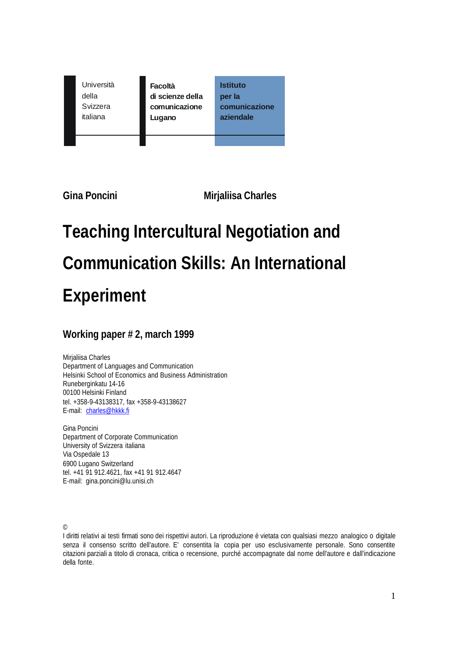| Università | Facoltà          | <b>Istituto</b> |
|------------|------------------|-----------------|
| della      | di scienze della | per la          |
| Svizzera   | comunicazione    | comunicazione   |
| italiana   | Lugano           | aziendale       |

**Gina Poncini Mirjaliisa Charles**

# **Teaching Intercultural Negotiation and Communication Skills: An International Experiment**

# **Working paper # 2, march 1999**

Mirjaliisa Charles Department of Languages and Communication Helsinki School of Economics and Business Administration Runeberginkatu 14-16 00100 Helsinki Finland tel. +358-9-43138317, fax +358-9-43138627 E-mail: charles@hkkk.fi

Gina Poncini Department of Corporate Communication University of Svizzera italiana Via Ospedale 13 6900 Lugano Switzerland tel. +41 91 912.4621, fax +41 91 912.4647 E-mail: gina.poncini@lu.unisi.ch

©

I diritti relativi ai testi firmati sono dei rispettivi autori. La riproduzione è vietata con qualsiasi mezzo analogico o digitale senza il consenso scritto dell'autore. E' consentita la copia per uso esclusivamente personale. Sono consentite citazioni parziali a titolo di cronaca, critica o recensione, purché accompagnate dal nome dell'autore e dall'indicazione della fonte.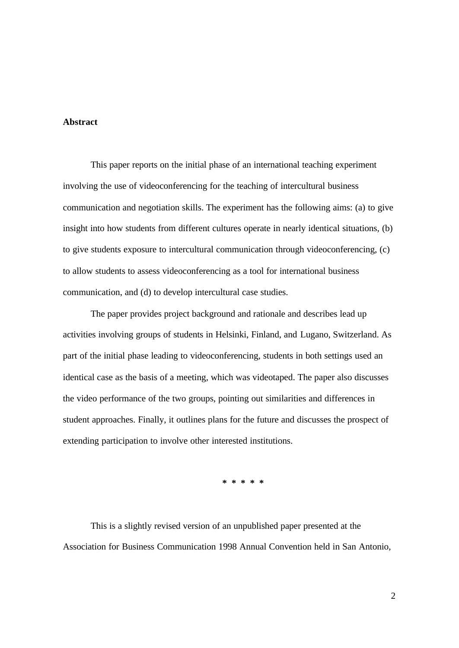#### **Abstract**

This paper reports on the initial phase of an international teaching experiment involving the use of videoconferencing for the teaching of intercultural business communication and negotiation skills. The experiment has the following aims: (a) to give insight into how students from different cultures operate in nearly identical situations, (b) to give students exposure to intercultural communication through videoconferencing, (c) to allow students to assess videoconferencing as a tool for international business communication, and (d) to develop intercultural case studies.

The paper provides project background and rationale and describes lead up activities involving groups of students in Helsinki, Finland, and Lugano, Switzerland. As part of the initial phase leading to videoconferencing, students in both settings used an identical case as the basis of a meeting, which was videotaped. The paper also discusses the video performance of the two groups, pointing out similarities and differences in student approaches. Finally, it outlines plans for the future and discusses the prospect of extending participation to involve other interested institutions.

**\* \* \* \* \***

This is a slightly revised version of an unpublished paper presented at the Association for Business Communication 1998 Annual Convention held in San Antonio,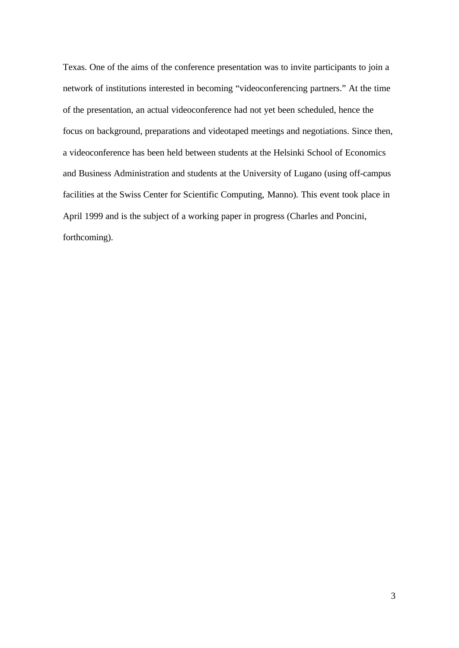Texas. One of the aims of the conference presentation was to invite participants to join a network of institutions interested in becoming "videoconferencing partners." At the time of the presentation, an actual videoconference had not yet been scheduled, hence the focus on background, preparations and videotaped meetings and negotiations. Since then, a videoconference has been held between students at the Helsinki School of Economics and Business Administration and students at the University of Lugano (using off-campus facilities at the Swiss Center for Scientific Computing, Manno). This event took place in April 1999 and is the subject of a working paper in progress (Charles and Poncini, forthcoming).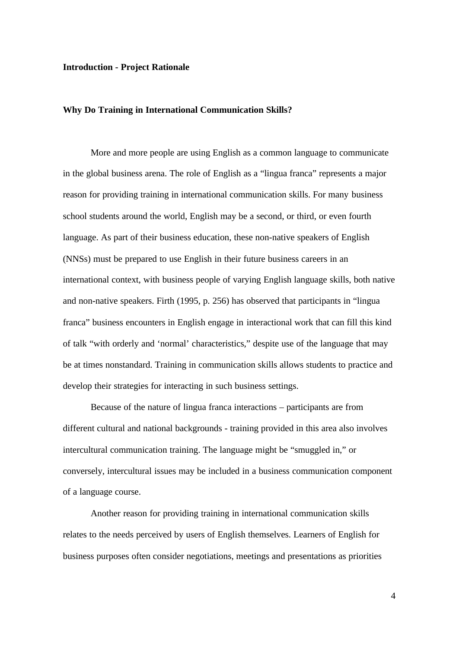#### **Introduction - Project Rationale**

#### **Why Do Training in International Communication Skills?**

More and more people are using English as a common language to communicate in the global business arena. The role of English as a "lingua franca" represents a major reason for providing training in international communication skills. For many business school students around the world, English may be a second, or third, or even fourth language. As part of their business education, these non-native speakers of English (NNSs) must be prepared to use English in their future business careers in an international context, with business people of varying English language skills, both native and non-native speakers. Firth (1995, p. 256) has observed that participants in "lingua franca" business encounters in English engage in interactional work that can fill this kind of talk "with orderly and 'normal' characteristics," despite use of the language that may be at times nonstandard. Training in communication skills allows students to practice and develop their strategies for interacting in such business settings.

Because of the nature of lingua franca interactions – participants are from different cultural and national backgrounds - training provided in this area also involves intercultural communication training. The language might be "smuggled in," or conversely, intercultural issues may be included in a business communication component of a language course.

Another reason for providing training in international communication skills relates to the needs perceived by users of English themselves. Learners of English for business purposes often consider negotiations, meetings and presentations as priorities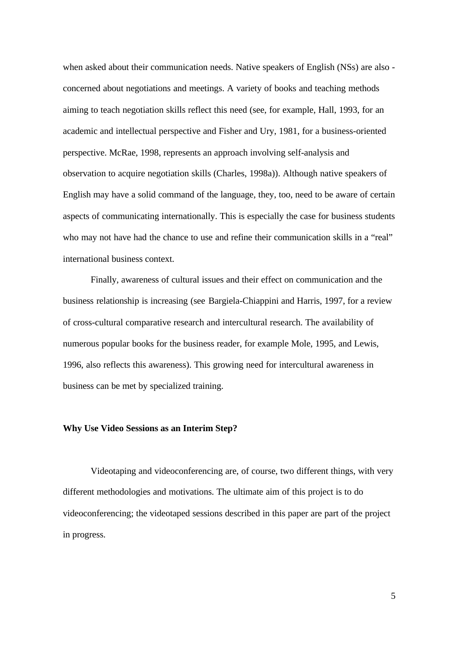when asked about their communication needs. Native speakers of English (NSs) are also concerned about negotiations and meetings. A variety of books and teaching methods aiming to teach negotiation skills reflect this need (see, for example, Hall, 1993, for an academic and intellectual perspective and Fisher and Ury, 1981, for a business-oriented perspective. McRae, 1998, represents an approach involving self-analysis and observation to acquire negotiation skills (Charles, 1998a)). Although native speakers of English may have a solid command of the language, they, too, need to be aware of certain aspects of communicating internationally. This is especially the case for business students who may not have had the chance to use and refine their communication skills in a "real" international business context.

Finally, awareness of cultural issues and their effect on communication and the business relationship is increasing (see Bargiela-Chiappini and Harris, 1997, for a review of cross-cultural comparative research and intercultural research. The availability of numerous popular books for the business reader, for example Mole, 1995, and Lewis, 1996, also reflects this awareness). This growing need for intercultural awareness in business can be met by specialized training.

#### **Why Use Video Sessions as an Interim Step?**

Videotaping and videoconferencing are, of course, two different things, with very different methodologies and motivations. The ultimate aim of this project is to do videoconferencing; the videotaped sessions described in this paper are part of the project in progress.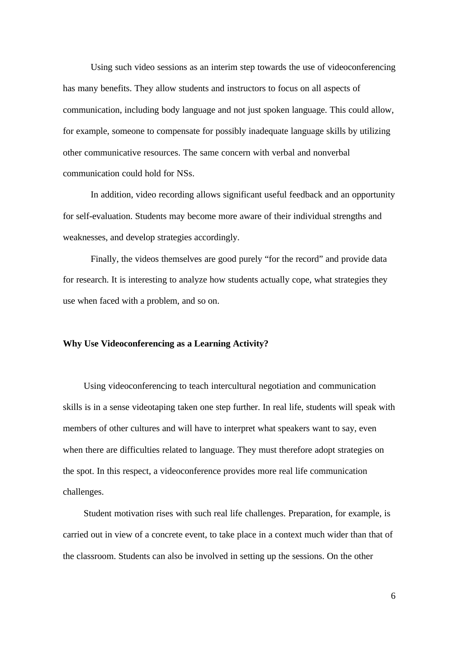Using such video sessions as an interim step towards the use of videoconferencing has many benefits. They allow students and instructors to focus on all aspects of communication, including body language and not just spoken language. This could allow, for example, someone to compensate for possibly inadequate language skills by utilizing other communicative resources. The same concern with verbal and nonverbal communication could hold for NSs.

In addition, video recording allows significant useful feedback and an opportunity for self-evaluation. Students may become more aware of their individual strengths and weaknesses, and develop strategies accordingly.

Finally, the videos themselves are good purely "for the record" and provide data for research. It is interesting to analyze how students actually cope, what strategies they use when faced with a problem, and so on.

#### **Why Use Videoconferencing as a Learning Activity?**

Using videoconferencing to teach intercultural negotiation and communication skills is in a sense videotaping taken one step further. In real life, students will speak with members of other cultures and will have to interpret what speakers want to say, even when there are difficulties related to language. They must therefore adopt strategies on the spot. In this respect, a videoconference provides more real life communication challenges.

Student motivation rises with such real life challenges. Preparation, for example, is carried out in view of a concrete event, to take place in a context much wider than that of the classroom. Students can also be involved in setting up the sessions. On the other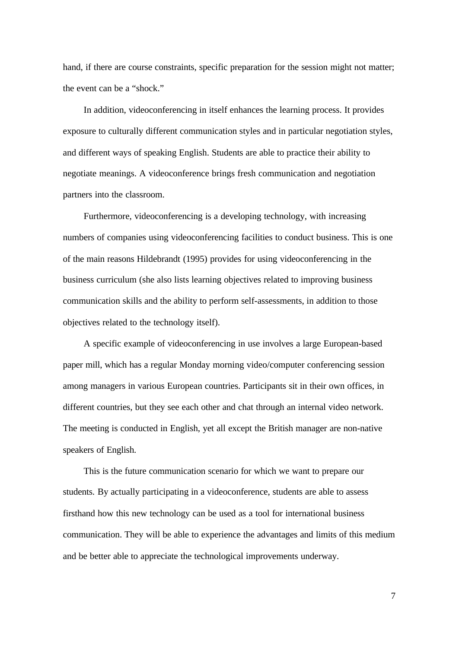hand, if there are course constraints, specific preparation for the session might not matter; the event can be a "shock."

In addition, videoconferencing in itself enhances the learning process. It provides exposure to culturally different communication styles and in particular negotiation styles, and different ways of speaking English. Students are able to practice their ability to negotiate meanings. A videoconference brings fresh communication and negotiation partners into the classroom.

Furthermore, videoconferencing is a developing technology, with increasing numbers of companies using videoconferencing facilities to conduct business. This is one of the main reasons Hildebrandt (1995) provides for using videoconferencing in the business curriculum (she also lists learning objectives related to improving business communication skills and the ability to perform self-assessments, in addition to those objectives related to the technology itself).

A specific example of videoconferencing in use involves a large European-based paper mill, which has a regular Monday morning video/computer conferencing session among managers in various European countries. Participants sit in their own offices, in different countries, but they see each other and chat through an internal video network. The meeting is conducted in English, yet all except the British manager are non-native speakers of English.

This is the future communication scenario for which we want to prepare our students. By actually participating in a videoconference, students are able to assess firsthand how this new technology can be used as a tool for international business communication. They will be able to experience the advantages and limits of this medium and be better able to appreciate the technological improvements underway.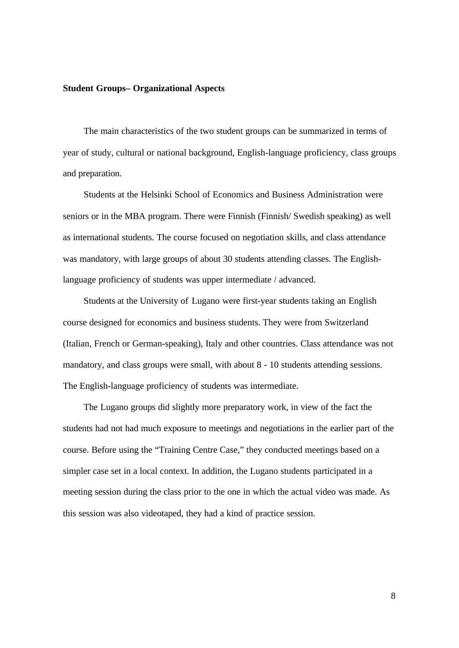#### **Student Groups– Organizational Aspects**

The main characteristics of the two student groups can be summarized in terms of year of study, cultural or national background, English-language proficiency, class groups and preparation.

Students at the Helsinki School of Economics and Business Administration were seniors or in the MBA program. There were Finnish (Finnish/ Swedish speaking) as well as international students. The course focused on negotiation skills, and class attendance was mandatory, with large groups of about 30 students attending classes. The Englishlanguage proficiency of students was upper intermediate / advanced.

Students at the University of Lugano were first-year students taking an English course designed for economics and business students. They were from Switzerland (Italian, French or German-speaking), Italy and other countries. Class attendance was not mandatory, and class groups were small, with about 8 - 10 students attending sessions. The English-language proficiency of students was intermediate.

The Lugano groups did slightly more preparatory work, in view of the fact the students had not had much exposure to meetings and negotiations in the earlier part of the course. Before using the "Training Centre Case," they conducted meetings based on a simpler case set in a local context. In addition, the Lugano students participated in a meeting session during the class prior to the one in which the actual video was made. As this session was also videotaped, they had a kind of practice session.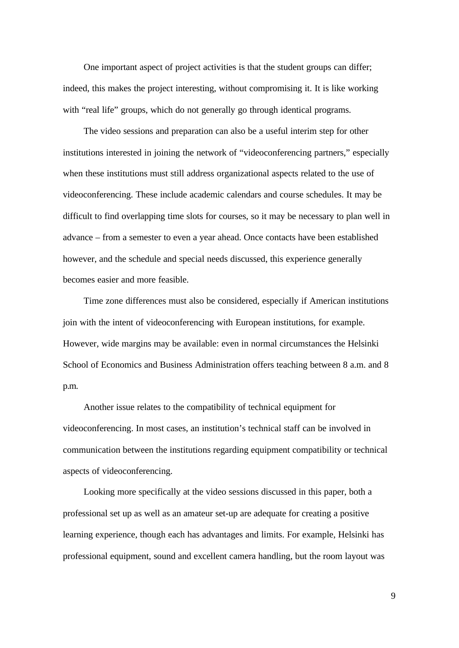One important aspect of project activities is that the student groups can differ; indeed, this makes the project interesting, without compromising it. It is like working with "real life" groups, which do not generally go through identical programs.

The video sessions and preparation can also be a useful interim step for other institutions interested in joining the network of "videoconferencing partners," especially when these institutions must still address organizational aspects related to the use of videoconferencing. These include academic calendars and course schedules. It may be difficult to find overlapping time slots for courses, so it may be necessary to plan well in advance – from a semester to even a year ahead. Once contacts have been established however, and the schedule and special needs discussed, this experience generally becomes easier and more feasible.

Time zone differences must also be considered, especially if American institutions join with the intent of videoconferencing with European institutions, for example. However, wide margins may be available: even in normal circumstances the Helsinki School of Economics and Business Administration offers teaching between 8 a.m. and 8 p.m.

Another issue relates to the compatibility of technical equipment for videoconferencing. In most cases, an institution's technical staff can be involved in communication between the institutions regarding equipment compatibility or technical aspects of videoconferencing.

Looking more specifically at the video sessions discussed in this paper, both a professional set up as well as an amateur set-up are adequate for creating a positive learning experience, though each has advantages and limits. For example, Helsinki has professional equipment, sound and excellent camera handling, but the room layout was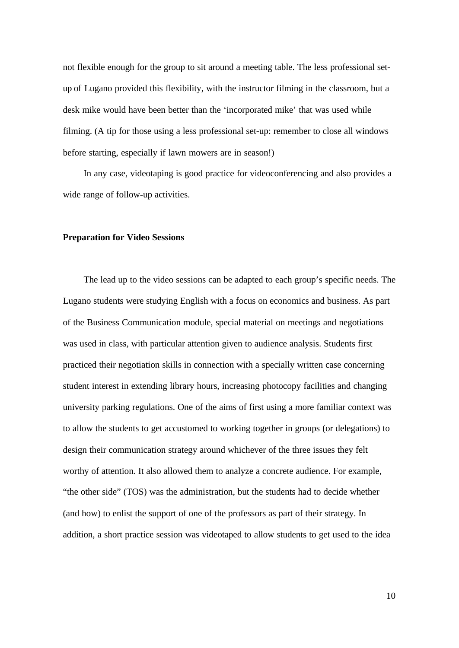not flexible enough for the group to sit around a meeting table. The less professional setup of Lugano provided this flexibility, with the instructor filming in the classroom, but a desk mike would have been better than the 'incorporated mike' that was used while filming. (A tip for those using a less professional set-up: remember to close all windows before starting, especially if lawn mowers are in season!)

In any case, videotaping is good practice for videoconferencing and also provides a wide range of follow-up activities.

#### **Preparation for Video Sessions**

The lead up to the video sessions can be adapted to each group's specific needs. The Lugano students were studying English with a focus on economics and business. As part of the Business Communication module, special material on meetings and negotiations was used in class, with particular attention given to audience analysis. Students first practiced their negotiation skills in connection with a specially written case concerning student interest in extending library hours, increasing photocopy facilities and changing university parking regulations. One of the aims of first using a more familiar context was to allow the students to get accustomed to working together in groups (or delegations) to design their communication strategy around whichever of the three issues they felt worthy of attention. It also allowed them to analyze a concrete audience. For example, "the other side" (TOS) was the administration, but the students had to decide whether (and how) to enlist the support of one of the professors as part of their strategy. In addition, a short practice session was videotaped to allow students to get used to the idea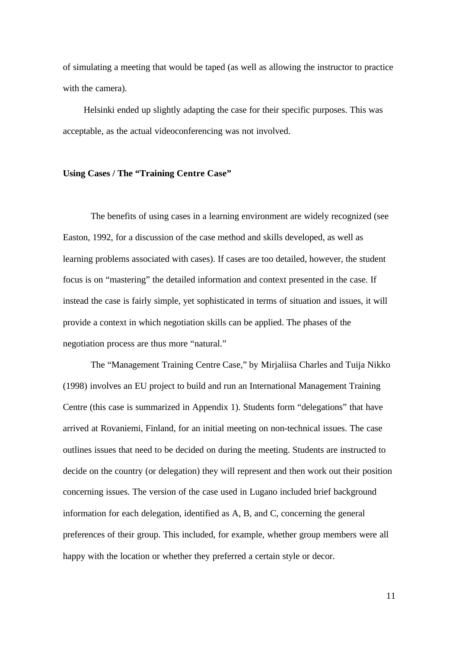of simulating a meeting that would be taped (as well as allowing the instructor to practice with the camera).

Helsinki ended up slightly adapting the case for their specific purposes. This was acceptable, as the actual videoconferencing was not involved.

#### **Using Cases / The "Training Centre Case"**

The benefits of using cases in a learning environment are widely recognized (see Easton, 1992, for a discussion of the case method and skills developed, as well as learning problems associated with cases). If cases are too detailed, however, the student focus is on "mastering" the detailed information and context presented in the case. If instead the case is fairly simple, yet sophisticated in terms of situation and issues, it will provide a context in which negotiation skills can be applied. The phases of the negotiation process are thus more "natural."

The "Management Training Centre Case," by Mirjaliisa Charles and Tuija Nikko (1998) involves an EU project to build and run an International Management Training Centre (this case is summarized in Appendix 1). Students form "delegations" that have arrived at Rovaniemi, Finland, for an initial meeting on non-technical issues. The case outlines issues that need to be decided on during the meeting. Students are instructed to decide on the country (or delegation) they will represent and then work out their position concerning issues. The version of the case used in Lugano included brief background information for each delegation, identified as A, B, and C, concerning the general preferences of their group. This included, for example, whether group members were all happy with the location or whether they preferred a certain style or decor.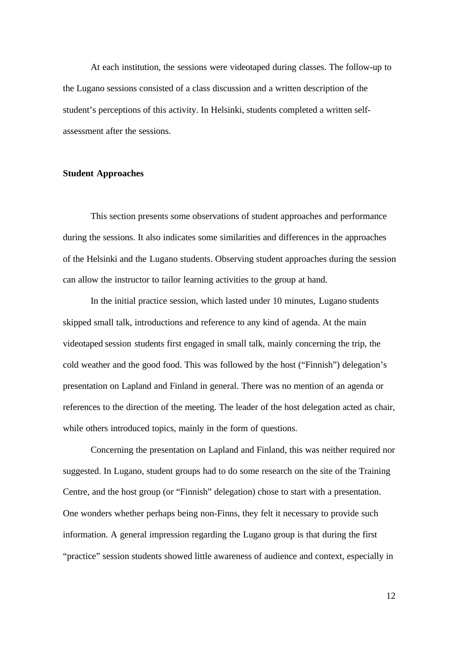At each institution, the sessions were videotaped during classes. The follow-up to the Lugano sessions consisted of a class discussion and a written description of the student's perceptions of this activity. In Helsinki, students completed a written selfassessment after the sessions.

#### **Student Approaches**

This section presents some observations of student approaches and performance during the sessions. It also indicates some similarities and differences in the approaches of the Helsinki and the Lugano students. Observing student approaches during the session can allow the instructor to tailor learning activities to the group at hand.

In the initial practice session, which lasted under 10 minutes, Lugano students skipped small talk, introductions and reference to any kind of agenda. At the main videotaped session students first engaged in small talk, mainly concerning the trip, the cold weather and the good food. This was followed by the host ("Finnish") delegation's presentation on Lapland and Finland in general. There was no mention of an agenda or references to the direction of the meeting. The leader of the host delegation acted as chair, while others introduced topics, mainly in the form of questions.

Concerning the presentation on Lapland and Finland, this was neither required nor suggested. In Lugano, student groups had to do some research on the site of the Training Centre, and the host group (or "Finnish" delegation) chose to start with a presentation. One wonders whether perhaps being non-Finns, they felt it necessary to provide such information. A general impression regarding the Lugano group is that during the first "practice" session students showed little awareness of audience and context, especially in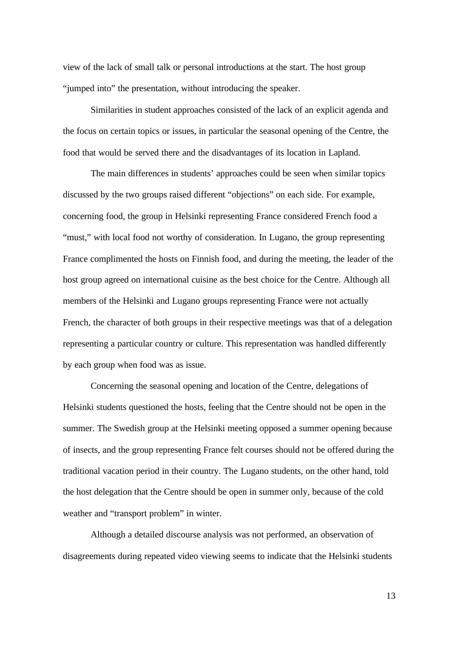view of the lack of small talk or personal introductions at the start. The host group "jumped into" the presentation, without introducing the speaker.

Similarities in student approaches consisted of the lack of an explicit agenda and the focus on certain topics or issues, in particular the seasonal opening of the Centre, the food that would be served there and the disadvantages of its location in Lapland.

The main differences in students' approaches could be seen when similar topics discussed by the two groups raised different "objections" on each side. For example, concerning food, the group in Helsinki representing France considered French food a "must," with local food not worthy of consideration. In Lugano, the group representing France complimented the hosts on Finnish food, and during the meeting, the leader of the host group agreed on international cuisine as the best choice for the Centre. Although all members of the Helsinki and Lugano groups representing France were not actually French, the character of both groups in their respective meetings was that of a delegation representing a particular country or culture. This representation was handled differently by each group when food was as issue.

Concerning the seasonal opening and location of the Centre, delegations of Helsinki students questioned the hosts, feeling that the Centre should not be open in the summer. The Swedish group at the Helsinki meeting opposed a summer opening because of insects, and the group representing France felt courses should not be offered during the traditional vacation period in their country. The Lugano students, on the other hand, told the host delegation that the Centre should be open in summer only, because of the cold weather and "transport problem" in winter.

Although a detailed discourse analysis was not performed, an observation of disagreements during repeated video viewing seems to indicate that the Helsinki students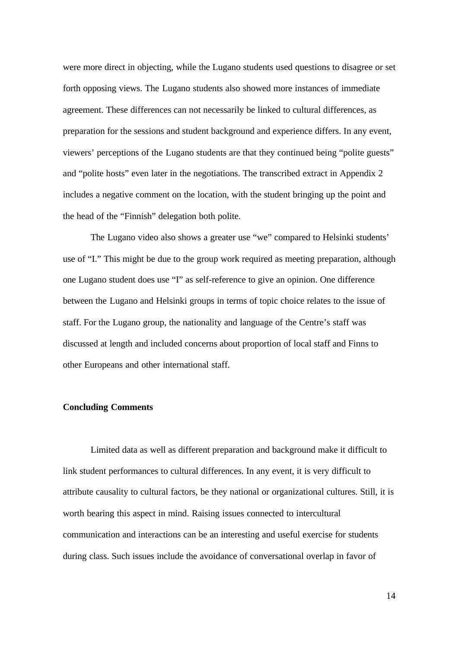were more direct in objecting, while the Lugano students used questions to disagree or set forth opposing views. The Lugano students also showed more instances of immediate agreement. These differences can not necessarily be linked to cultural differences, as preparation for the sessions and student background and experience differs. In any event, viewers' perceptions of the Lugano students are that they continued being "polite guests" and "polite hosts" even later in the negotiations. The transcribed extract in Appendix 2 includes a negative comment on the location, with the student bringing up the point and the head of the "Finnish" delegation both polite.

The Lugano video also shows a greater use "we" compared to Helsinki students' use of "I." This might be due to the group work required as meeting preparation, although one Lugano student does use "I" as self-reference to give an opinion. One difference between the Lugano and Helsinki groups in terms of topic choice relates to the issue of staff. For the Lugano group, the nationality and language of the Centre's staff was discussed at length and included concerns about proportion of local staff and Finns to other Europeans and other international staff.

#### **Concluding Comments**

Limited data as well as different preparation and background make it difficult to link student performances to cultural differences. In any event, it is very difficult to attribute causality to cultural factors, be they national or organizational cultures. Still, it is worth bearing this aspect in mind. Raising issues connected to intercultural communication and interactions can be an interesting and useful exercise for students during class. Such issues include the avoidance of conversational overlap in favor of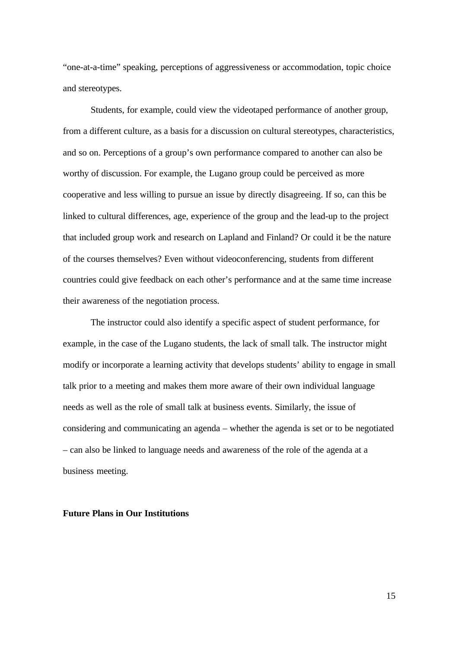"one-at-a-time" speaking, perceptions of aggressiveness or accommodation, topic choice and stereotypes.

Students, for example, could view the videotaped performance of another group, from a different culture, as a basis for a discussion on cultural stereotypes, characteristics, and so on. Perceptions of a group's own performance compared to another can also be worthy of discussion. For example, the Lugano group could be perceived as more cooperative and less willing to pursue an issue by directly disagreeing. If so, can this be linked to cultural differences, age, experience of the group and the lead-up to the project that included group work and research on Lapland and Finland? Or could it be the nature of the courses themselves? Even without videoconferencing, students from different countries could give feedback on each other's performance and at the same time increase their awareness of the negotiation process.

The instructor could also identify a specific aspect of student performance, for example, in the case of the Lugano students, the lack of small talk. The instructor might modify or incorporate a learning activity that develops students' ability to engage in small talk prior to a meeting and makes them more aware of their own individual language needs as well as the role of small talk at business events. Similarly, the issue of considering and communicating an agenda – whether the agenda is set or to be negotiated – can also be linked to language needs and awareness of the role of the agenda at a business meeting.

#### **Future Plans in Our Institutions**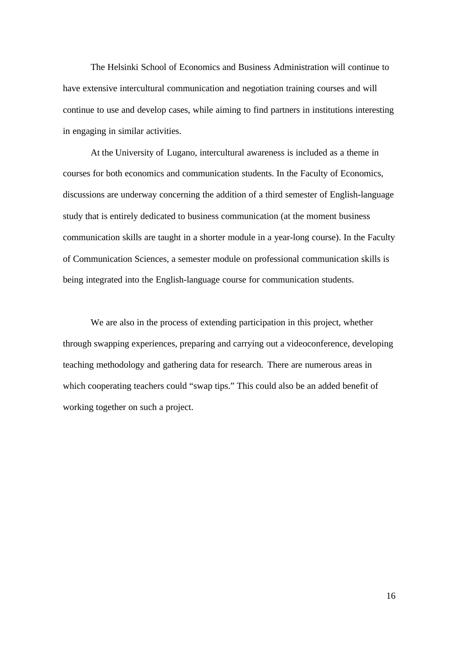The Helsinki School of Economics and Business Administration will continue to have extensive intercultural communication and negotiation training courses and will continue to use and develop cases, while aiming to find partners in institutions interesting in engaging in similar activities.

At the University of Lugano, intercultural awareness is included as a theme in courses for both economics and communication students. In the Faculty of Economics, discussions are underway concerning the addition of a third semester of English-language study that is entirely dedicated to business communication (at the moment business communication skills are taught in a shorter module in a year-long course). In the Faculty of Communication Sciences, a semester module on professional communication skills is being integrated into the English-language course for communication students.

We are also in the process of extending participation in this project, whether through swapping experiences, preparing and carrying out a videoconference, developing teaching methodology and gathering data for research. There are numerous areas in which cooperating teachers could "swap tips." This could also be an added benefit of working together on such a project.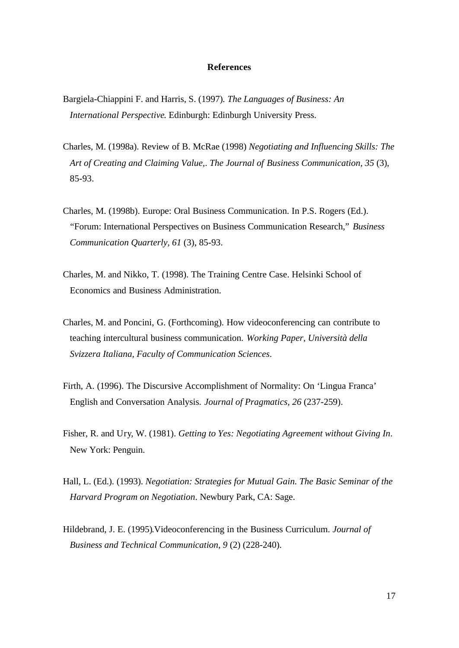#### **References**

- Bargiela-Chiappini F. and Harris, S. (1997)*. The Languages of Business: An International Perspective*. Edinburgh: Edinburgh University Press.
- Charles, M. (1998a). Review of B. McRae (1998) *Negotiating and Influencing Skills: The Art of Creating and Claiming Value,*. *The Journal of Business Communication, 35* (3), 85-93.
- Charles, M. (1998b). Europe: Oral Business Communication. In P.S. Rogers (Ed.). "Forum: International Perspectives on Business Communication Research," *Business Communication Quarterly, 61* (3), 85-93.
- Charles, M. and Nikko, T. (1998). The Training Centre Case. Helsinki School of Economics and Business Administration.
- Charles, M. and Poncini, G. (Forthcoming). How videoconferencing can contribute to teaching intercultural business communication. *Working Paper, Università della Svizzera Italiana, Faculty of Communication Sciences*.
- Firth, A. (1996). The Discursive Accomplishment of Normality: On 'Lingua Franca' English and Conversation Analysis. *Journal of Pragmatics, 26* (237-259).
- Fisher, R. and Ury, W. (1981). *Getting to Yes: Negotiating Agreement without Giving In*. New York: Penguin.
- Hall, L. (Ed.). (1993). *Negotiation: Strategies for Mutual Gain. The Basic Seminar of the Harvard Program on Negotiation*. Newbury Park, CA: Sage.
- Hildebrand, J. E. (1995).Videoconferencing in the Business Curriculum. *Journal of Business and Technical Communication*, *9* (2) (228-240).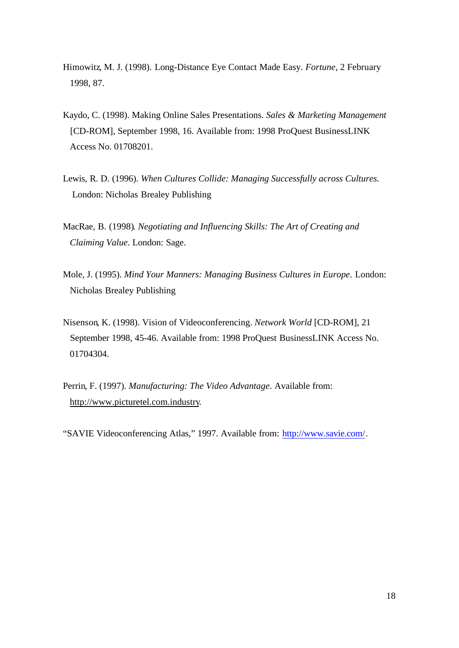- Himowitz, M. J. (1998). Long-Distance Eye Contact Made Easy. *Fortune*, 2 February 1998, 87.
- Kaydo, C. (1998). Making Online Sales Presentations. *Sales & Marketing Management* [CD-ROM], September 1998, 16. Available from: 1998 ProQuest BusinessLINK Access No. 01708201.
- Lewis, R. D. (1996). *When Cultures Collide: Managing Successfully across Cultures.* London: Nicholas Brealey Publishing
- MacRae, B. (1998)*. Negotiating and Influencing Skills: The Art of Creating and Claiming Value*. London: Sage.
- Mole, J. (1995). *Mind Your Manners: Managing Business Cultures in Europe*. London: Nicholas Brealey Publishing
- Nisenson, K. (1998). Vision of Videoconferencing. *Network World* [CD-ROM], 21 September 1998, 45-46. Available from: 1998 ProQuest BusinessLINK Access No. 01704304.
- Perrin, F. (1997). *Manufacturing: The Video Advantage*. Available from: http://www.picturetel.com.industry.

"SAVIE Videoconferencing Atlas," 1997. Available from: http://www.savie.com/.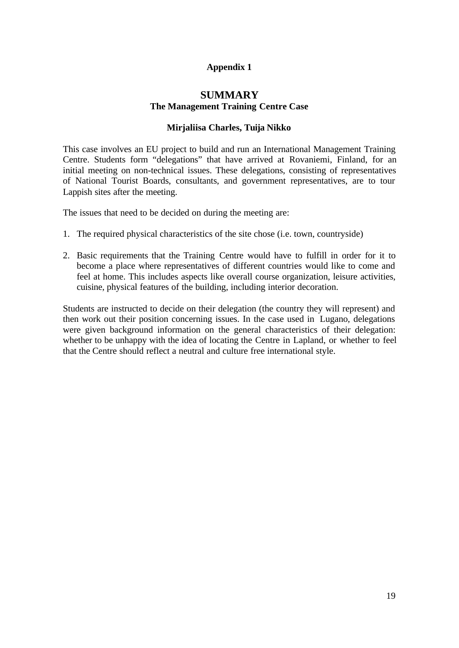# **Appendix 1**

# **SUMMARY The Management Training Centre Case**

#### **Mirjaliisa Charles, Tuija Nikko**

This case involves an EU project to build and run an International Management Training Centre. Students form "delegations" that have arrived at Rovaniemi, Finland, for an initial meeting on non-technical issues. These delegations, consisting of representatives of National Tourist Boards, consultants, and government representatives, are to tour Lappish sites after the meeting.

The issues that need to be decided on during the meeting are:

- 1. The required physical characteristics of the site chose (i.e. town, countryside)
- 2. Basic requirements that the Training Centre would have to fulfill in order for it to become a place where representatives of different countries would like to come and feel at home. This includes aspects like overall course organization, leisure activities, cuisine, physical features of the building, including interior decoration.

Students are instructed to decide on their delegation (the country they will represent) and then work out their position concerning issues. In the case used in Lugano, delegations were given background information on the general characteristics of their delegation: whether to be unhappy with the idea of locating the Centre in Lapland, or whether to feel that the Centre should reflect a neutral and culture free international style.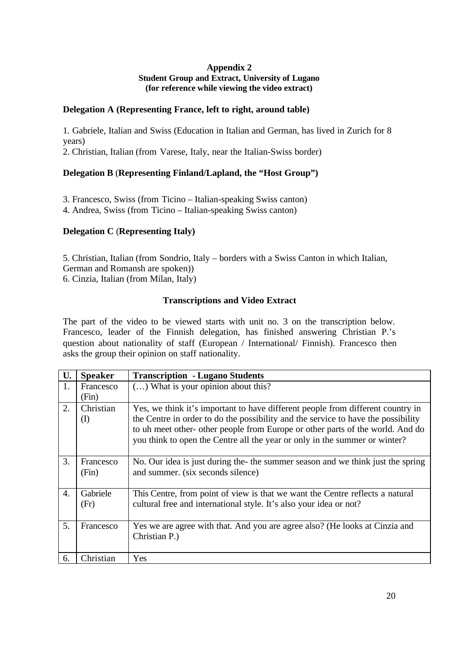## **Appendix 2 Student Group and Extract, University of Lugano (for reference while viewing the video extract)**

## **Delegation A (Representing France, left to right, around table)**

1. Gabriele, Italian and Swiss (Education in Italian and German, has lived in Zurich for 8 years)

2. Christian, Italian (from Varese, Italy, near the Italian-Swiss border)

# **Delegation B** (**Representing Finland/Lapland, the "Host Group")**

3. Francesco, Swiss (from Ticino – Italian-speaking Swiss canton)

4. Andrea, Swiss (from Ticino – Italian-speaking Swiss canton)

# **Delegation C** (**Representing Italy)**

5. Christian, Italian (from Sondrio, Italy – borders with a Swiss Canton in which Italian, German and Romansh are spoken)) 6. Cinzia, Italian (from Milan, Italy)

# **Transcriptions and Video Extract**

The part of the video to be viewed starts with unit no. 3 on the transcription below. Francesco, leader of the Finnish delegation, has finished answering Christian P.'s question about nationality of staff (European / International/ Finnish). Francesco then asks the group their opinion on staff nationality.

|                  | <b>Speaker</b>     | <b>Transcription - Lugano Students</b>                                                                                                                                                                                                                                                                                               |
|------------------|--------------------|--------------------------------------------------------------------------------------------------------------------------------------------------------------------------------------------------------------------------------------------------------------------------------------------------------------------------------------|
| 1.               | Francesco<br>(Fin) | () What is your opinion about this?                                                                                                                                                                                                                                                                                                  |
| 2.               | Christian<br>(I)   | Yes, we think it's important to have different people from different country in<br>the Centre in order to do the possibility and the service to have the possibility<br>to uh meet other- other people from Europe or other parts of the world. And do<br>you think to open the Centre all the year or only in the summer or winter? |
| 3.               | Francesco<br>(Fin) | No. Our idea is just during the-the summer season and we think just the spring<br>and summer. (six seconds silence)                                                                                                                                                                                                                  |
| $\overline{4}$ . | Gabriele<br>(Fr)   | This Centre, from point of view is that we want the Centre reflects a natural<br>cultural free and international style. It's also your idea or not?                                                                                                                                                                                  |
| 5.               | Francesco          | Yes we are agree with that. And you are agree also? (He looks at Cinzia and<br>Christian P.)                                                                                                                                                                                                                                         |
| 6.               | Christian          | Yes                                                                                                                                                                                                                                                                                                                                  |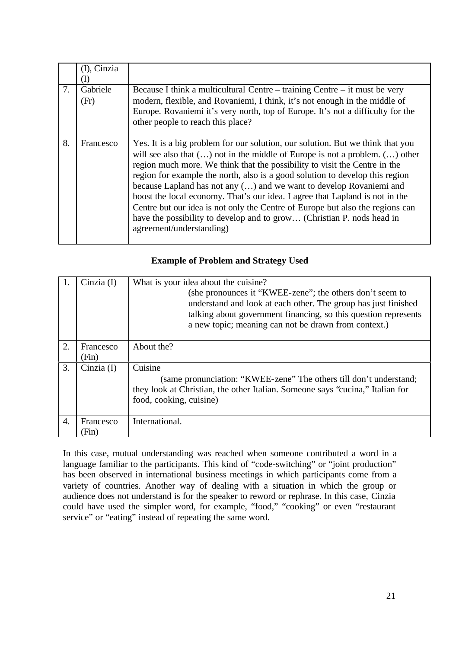|    | (I), Cinzia      |                                                                                                                                                                                                                                                                                                                                                                                                                                                                                                                                                                                                                                                                                |
|----|------------------|--------------------------------------------------------------------------------------------------------------------------------------------------------------------------------------------------------------------------------------------------------------------------------------------------------------------------------------------------------------------------------------------------------------------------------------------------------------------------------------------------------------------------------------------------------------------------------------------------------------------------------------------------------------------------------|
| 7. | Gabriele<br>(Fr) | Because I think a multicultural Centre – training Centre – it must be very<br>modern, flexible, and Rovaniemi, I think, it's not enough in the middle of<br>Europe. Rovaniemi it's very north, top of Europe. It's not a difficulty for the<br>other people to reach this place?                                                                                                                                                                                                                                                                                                                                                                                               |
| 8. | Francesco        | Yes. It is a big problem for our solution, our solution. But we think that you<br>will see also that $()$ not in the middle of Europe is not a problem. $()$ other<br>region much more. We think that the possibility to visit the Centre in the<br>region for example the north, also is a good solution to develop this region<br>because Lapland has not any () and we want to develop Rovaniemi and<br>boost the local economy. That's our idea. I agree that Lapland is not in the<br>Centre but our idea is not only the Centre of Europe but also the regions can<br>have the possibility to develop and to grow (Christian P. nods head in<br>agreement/understanding) |

# **Example of Problem and Strategy Used**

|                | Cinzia $(I)$       | What is your idea about the cuisine?<br>(she pronounces it "KWEE-zene"; the others don't seem to<br>understand and look at each other. The group has just finished<br>talking about government financing, so this question represents<br>a new topic; meaning can not be drawn from context.) |
|----------------|--------------------|-----------------------------------------------------------------------------------------------------------------------------------------------------------------------------------------------------------------------------------------------------------------------------------------------|
| 2.             | Francesco<br>(Fin) | About the?                                                                                                                                                                                                                                                                                    |
| 3.             | Cinzia $(I)$       | Cuisine<br>(same pronunciation: "KWEE-zene" The others till don't understand;<br>they look at Christian, the other Italian. Someone says "cucina," Italian for<br>food, cooking, cuisine)                                                                                                     |
| $\overline{4}$ | Francesco<br>(Fin  | International.                                                                                                                                                                                                                                                                                |

In this case, mutual understanding was reached when someone contributed a word in a language familiar to the participants. This kind of "code-switching" or "joint production" has been observed in international business meetings in which participants come from a variety of countries. Another way of dealing with a situation in which the group or audience does not understand is for the speaker to reword or rephrase. In this case, Cinzia could have used the simpler word, for example, "food," "cooking" or even "restaurant service" or "eating" instead of repeating the same word.